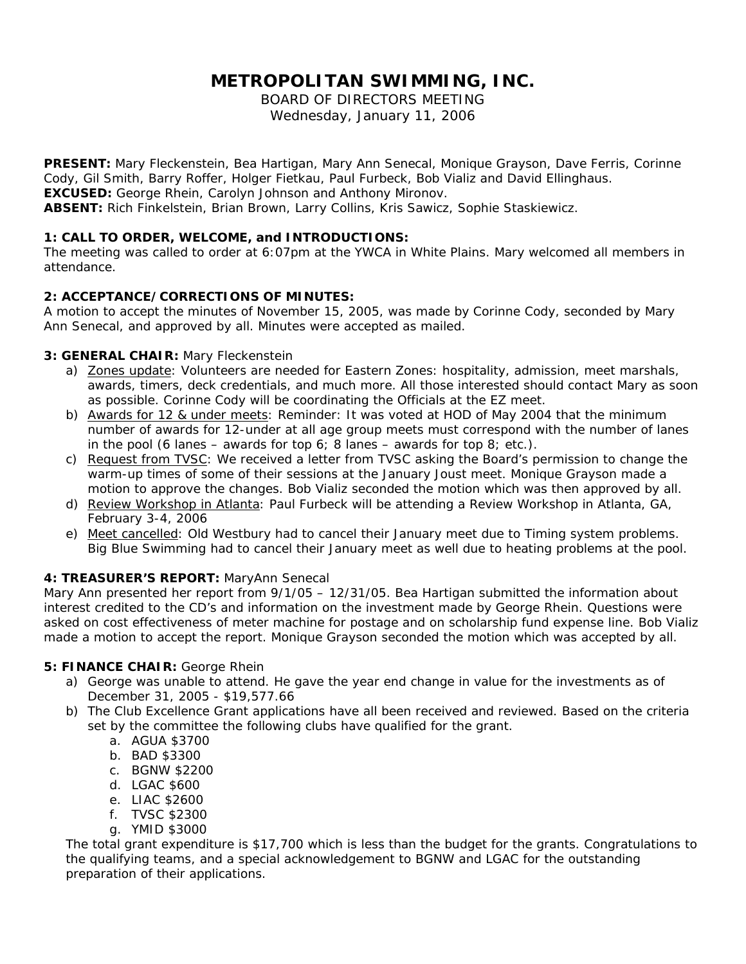# **METROPOLITAN SWIMMING, INC.**

BOARD OF DIRECTORS MEETING Wednesday, January 11, 2006

**PRESENT:** Mary Fleckenstein, Bea Hartigan, Mary Ann Senecal, Monique Grayson, Dave Ferris, Corinne Cody, Gil Smith, Barry Roffer, Holger Fietkau, Paul Furbeck, Bob Vializ and David Ellinghaus. **EXCUSED:** George Rhein, Carolyn Johnson and Anthony Mironov. **ABSENT:** Rich Finkelstein, Brian Brown, Larry Collins, Kris Sawicz, Sophie Staskiewicz.

# **1: CALL TO ORDER, WELCOME, and INTRODUCTIONS:**

The meeting was called to order at 6:07pm at the YWCA in White Plains. Mary welcomed all members in attendance.

# **2: ACCEPTANCE/CORRECTIONS OF MINUTES:**

A motion to accept the minutes of November 15, 2005, was made by Corinne Cody, seconded by Mary Ann Senecal, and approved by all. Minutes were accepted as mailed.

# **3: GENERAL CHAIR:** Mary Fleckenstein

- a) Zones update: Volunteers are needed for Eastern Zones: hospitality, admission, meet marshals, awards, timers, deck credentials, and much more. All those interested should contact Mary as soon as possible. Corinne Cody will be coordinating the Officials at the EZ meet.
- b) Awards for 12 & under meets: Reminder: It was voted at HOD of May 2004 that the minimum number of awards for 12-under at all age group meets must correspond with the number of lanes in the pool (6 lanes – awards for top 6; 8 lanes – awards for top 8; etc.).
- c) Request from TVSC: We received a letter from TVSC asking the Board's permission to change the warm-up times of some of their sessions at the January Joust meet. Monique Grayson made a motion to approve the changes. Bob Vializ seconded the motion which was then approved by all.
- d) Review Workshop in Atlanta: Paul Furbeck will be attending a Review Workshop in Atlanta, GA, February 3-4, 2006
- e) Meet cancelled: Old Westbury had to cancel their January meet due to Timing system problems. Big Blue Swimming had to cancel their January meet as well due to heating problems at the pool.

# **4: TREASURER'S REPORT:** MaryAnn Senecal

Mary Ann presented her report from 9/1/05 – 12/31/05. Bea Hartigan submitted the information about interest credited to the CD's and information on the investment made by George Rhein. Questions were asked on cost effectiveness of meter machine for postage and on scholarship fund expense line. Bob Vializ made a motion to accept the report. Monique Grayson seconded the motion which was accepted by all.

## **5: FINANCE CHAIR:** George Rhein

- a) George was unable to attend. He gave the year end change in value for the investments as of December 31, 2005 - \$19,577.66
- b) The Club Excellence Grant applications have all been received and reviewed. Based on the criteria set by the committee the following clubs have qualified for the grant.
	- a. AGUA \$3700
	- b. BAD \$3300
	- c. BGNW \$2200
	- d. LGAC \$600
	- e. LIAC \$2600
	- f. TVSC \$2300
	- g. YMID \$3000

The total grant expenditure is \$17,700 which is less than the budget for the grants. Congratulations to the qualifying teams, and a special acknowledgement to BGNW and LGAC for the outstanding preparation of their applications.